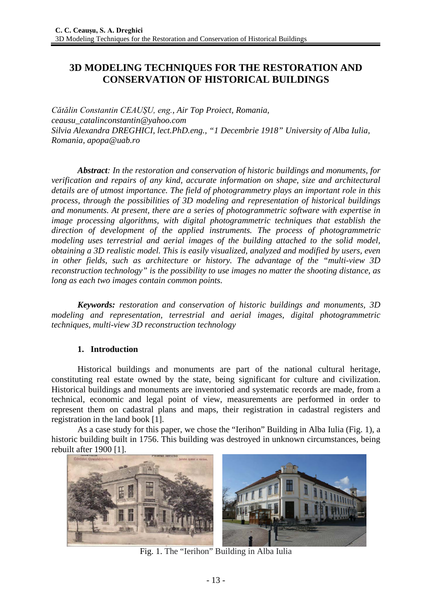# **3D MODELING TECHNIQUES FOR THE RESTORATION AND CONSERVATION OF HISTORICAL BUILDINGS**

*Cătălin Constantin CEAUȘU, eng., Air Top Proiect, Romania, ceausu\_catalinconstantin@yahoo.com Silvia Alexandra DREGHICI, lect.PhD.eng., "1 Decembrie 1918" University of Alba Iulia, Romania, apopa@uab.ro*

*Abstract: In the restoration and conservation of historic buildings and monuments, for verification and repairs of any kind, accurate information on shape, size and architectural details are of utmost importance. The field of photogrammetry plays an important role in this process, through the possibilities of 3D modeling and representation of historical buildings and monuments. At present, there are a series of photogrammetric software with expertise in image processing algorithms, with digital photogrammetric techniques that establish the direction of development of the applied instruments. The process of photogrammetric modeling uses terrestrial and aerial images of the building attached to the solid model, obtaining a 3D realistic model. This is easily visualized, analyzed and modified by users, even in other fields, such as architecture or history. The advantage of the "multi-view 3D reconstruction technology" is the possibility to use images no matter the shooting distance, as long as each two images contain common points.*

*Keywords: restoration and conservation of historic buildings and monuments, 3D modeling and representation, terrestrial and aerial images, digital photogrammetric techniques, multi-view 3D reconstruction technology*

## **1. Introduction**

Historical buildings and monuments are part of the national cultural heritage, constituting real estate owned by the state, being significant for culture and civilization. Historical buildings and monuments are inventoried and systematic records are made, from a technical, economic and legal point of view, measurements are performed in order to represent them on cadastral plans and maps, their registration in cadastral registers and registration in the land book [1].

As a case study for this paper, we chose the "Ierihon" Building in Alba Iulia (Fig. 1), a historic building built in 1756. This building was destroyed in unknown circumstances, being rebuilt after 1900 [1].



Fig. 1. The "Ierihon" Building in Alba Iulia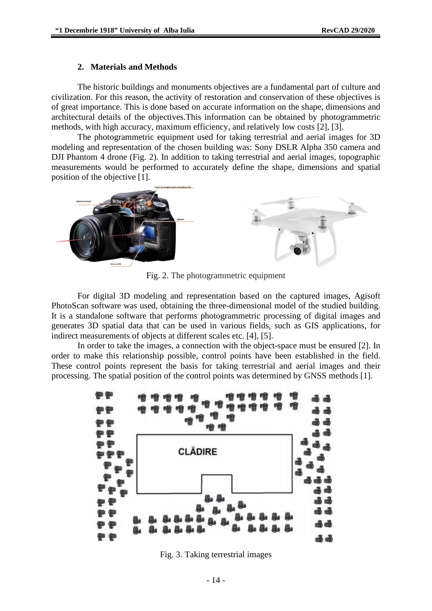#### **2. Materials and Methods**

The historic buildings and monuments objectives are a fundamental part of culture and civilization. For this reason, the activity of restoration and conservation of these objectives is of great importance. This is done based on accurate information on the shape, dimensions and architectural details of the objectives.This information can be obtained by photogrammetric methods, with high accuracy, maximum efficiency, and relatively low costs [2], [3].

The photogrammetric equipment used for taking terrestrial and aerial images for 3D modeling and representation of the chosen building was: Sony DSLR Alpha 350 camera and DJI Phantom 4 drone (Fig. 2). In addition to taking terrestrial and aerial images, topographic measurements would be performed to accurately define the shape, dimensions and spatial position of the objective [1].



Fig. 2. The photogrammetric equipment

For digital 3D modeling and representation based on the captured images, Agisoft PhotoScan software was used, obtaining the three-dimensional model of the studied building. It is a standalone software that performs photogrammetric processing of digital images and generates 3D spatial data that can be used in various fields, such as GIS applications, for indirect measurements of objects at different scales etc. [4], [5].

In order to take the images, a connection with the object-space must be ensured [2]. In order to make this relationship possible, control points have been established in the field. These control points represent the basis for taking terrestrial and aerial images and their processing. The spatial position of the control points was determined by GNSS methods [1].



Fig. 3. Taking terrestrial images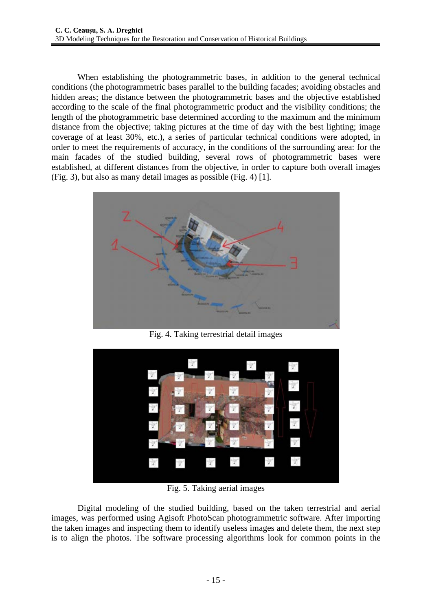When establishing the photogrammetric bases, in addition to the general technical conditions (the photogrammetric bases parallel to the building facades; avoiding obstacles and hidden areas; the distance between the photogrammetric bases and the objective established according to the scale of the final photogrammetric product and the visibility conditions; the length of the photogrammetric base determined according to the maximum and the minimum distance from the objective; taking pictures at the time of day with the best lighting; image coverage of at least 30%, etc.), a series of particular technical conditions were adopted, in order to meet the requirements of accuracy, in the conditions of the surrounding area: for the main facades of the studied building, several rows of photogrammetric bases were established, at different distances from the objective, in order to capture both overall images (Fig. 3), but also as many detail images as possible (Fig. 4) [1].



Fig. 4. Taking terrestrial detail images



Fig. 5. Taking aerial images

Digital modeling of the studied building, based on the taken terrestrial and aerial images, was performed using Agisoft PhotoScan photogrammetric software. After importing the taken images and inspecting them to identify useless images and delete them, the next step is to align the photos. The software processing algorithms look for common points in the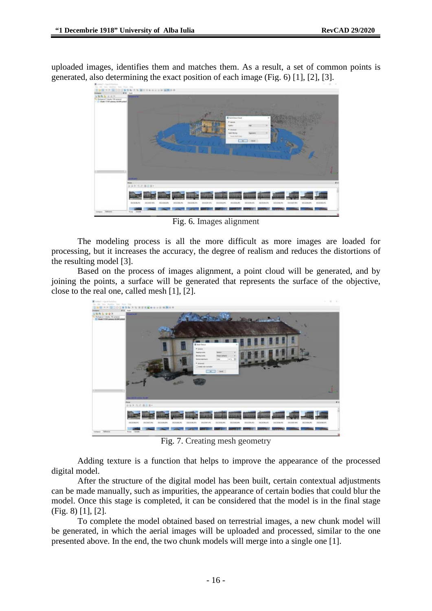uploaded images, identifies them and matches them. As a result, a set of common points is generated, also determining the exact position of each image (Fig. 6) [1], [2], [3].



Fig. 6. Images alignment

The modeling process is all the more difficult as more images are loaded for processing, but it increases the accuracy, the degree of realism and reduces the distortions of the resulting model [3].

Based on the process of images alignment, a point cloud will be generated, and by joining the points, a surface will be generated that represents the surface of the objective, close to the real one, called mesh [1], [2].



Fig. 7. Creating mesh geometry

Adding texture is a function that helps to improve the appearance of the processed digital model.

After the structure of the digital model has been built, certain contextual adjustments can be made manually, such as impurities, the appearance of certain bodies that could blur the model. Once this stage is completed, it can be considered that the model is in the final stage (Fig. 8) [1], [2].

To complete the model obtained based on terrestrial images, a new chunk model will be generated, in which the aerial images will be uploaded and processed, similar to the one presented above. In the end, the two chunk models will merge into a single one [1].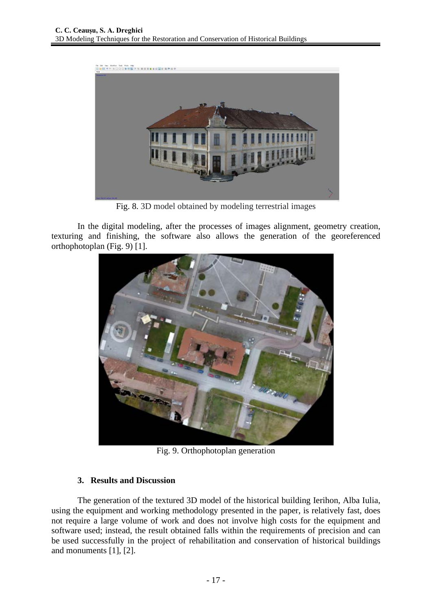

Fig. 8. 3D model obtained by modeling terrestrial images

In the digital modeling, after the processes of images alignment, geometry creation, texturing and finishing, the software also allows the generation of the georeferenced orthophotoplan (Fig. 9) [1].



Fig. 9. Orthophotoplan generation

## **3. Results and Discussion**

The generation of the textured 3D model of the historical building Ierihon, Alba Iulia, using the equipment and working methodology presented in the paper, is relatively fast, does not require a large volume of work and does not involve high costs for the equipment and software used; instead, the result obtained falls within the requirements of precision and can be used successfully in the project of rehabilitation and conservation of historical buildings and monuments [1], [2].